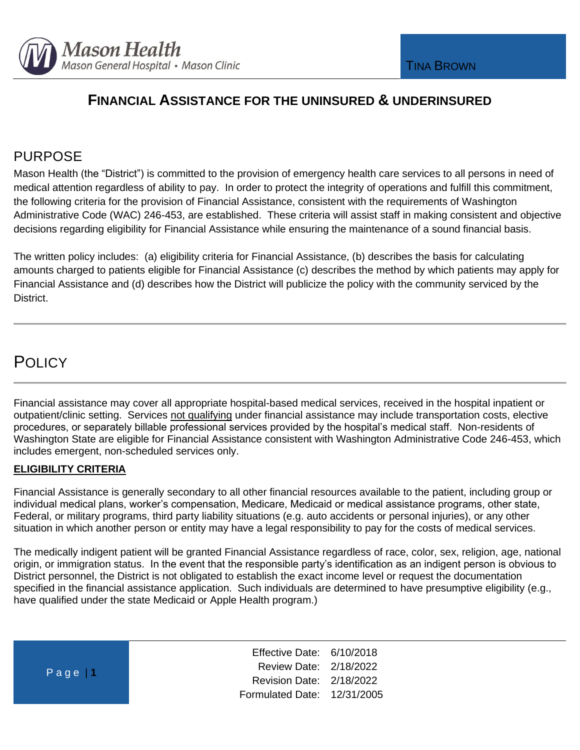

# PURPOSE

Mason Health (the "District") is committed to the provision of emergency health care services to all persons in need of medical attention regardless of ability to pay. In order to protect the integrity of operations and fulfill this commitment, the following criteria for the provision of Financial Assistance, consistent with the requirements of Washington Administrative Code (WAC) 246-453, are established. These criteria will assist staff in making consistent and objective decisions regarding eligibility for Financial Assistance while ensuring the maintenance of a sound financial basis.

The written policy includes: (a) eligibility criteria for Financial Assistance, (b) describes the basis for calculating amounts charged to patients eligible for Financial Assistance (c) describes the method by which patients may apply for Financial Assistance and (d) describes how the District will publicize the policy with the community serviced by the District.

# **POLICY**

Financial assistance may cover all appropriate hospital-based medical services, received in the hospital inpatient or outpatient/clinic setting. Services not qualifying under financial assistance may include transportation costs, elective procedures, or separately billable professional services provided by the hospital's medical staff. Non-residents of Washington State are eligible for Financial Assistance consistent with Washington Administrative Code 246-453, which includes emergent, non-scheduled services only.

### **ELIGIBILITY CRITERIA**

Financial Assistance is generally secondary to all other financial resources available to the patient, including group or individual medical plans, worker's compensation, Medicare, Medicaid or medical assistance programs, other state, Federal, or military programs, third party liability situations (e.g. auto accidents or personal injuries), or any other situation in which another person or entity may have a legal responsibility to pay for the costs of medical services.

The medically indigent patient will be granted Financial Assistance regardless of race, color, sex, religion, age, national origin, or immigration status. In the event that the responsible party's identification as an indigent person is obvious to District personnel, the District is not obligated to establish the exact income level or request the documentation specified in the financial assistance application. Such individuals are determined to have presumptive eligibility (e.g., have qualified under the state Medicaid or Apple Health program.)

| Page $1$ | Effective Date: 6/10/2018   |  |
|----------|-----------------------------|--|
|          | Review Date: 2/18/2022      |  |
|          | Revision Date: 2/18/2022    |  |
|          | Formulated Date: 12/31/2005 |  |
|          |                             |  |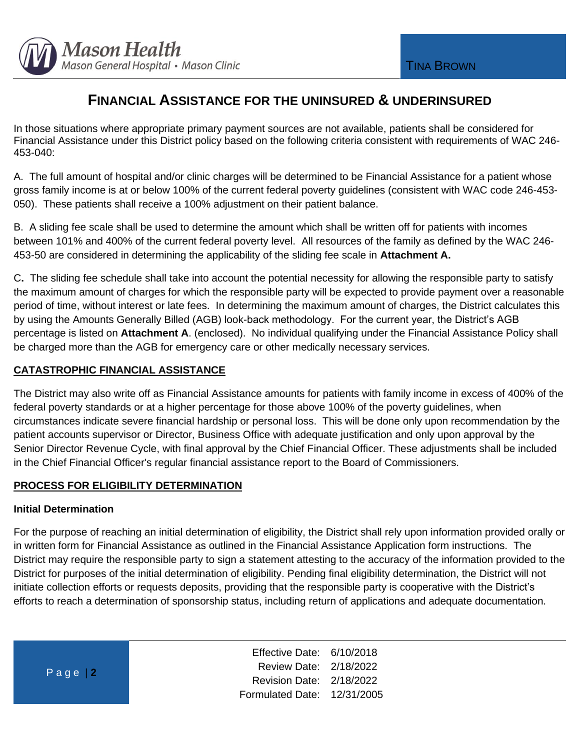

In those situations where appropriate primary payment sources are not available, patients shall be considered for Financial Assistance under this District policy based on the following criteria consistent with requirements of WAC 246- 453-040:

A. The full amount of hospital and/or clinic charges will be determined to be Financial Assistance for a patient whose gross family income is at or below 100% of the current federal poverty guidelines (consistent with WAC code 246-453- 050). These patients shall receive a 100% adjustment on their patient balance.

B. A sliding fee scale shall be used to determine the amount which shall be written off for patients with incomes between 101% and 400% of the current federal poverty level. All resources of the family as defined by the WAC 246- 453-50 are considered in determining the applicability of the sliding fee scale in **Attachment A.** 

C**.** The sliding fee schedule shall take into account the potential necessity for allowing the responsible party to satisfy the maximum amount of charges for which the responsible party will be expected to provide payment over a reasonable period of time, without interest or late fees. In determining the maximum amount of charges, the District calculates this by using the Amounts Generally Billed (AGB) look-back methodology. For the current year, the District's AGB percentage is listed on **Attachment A**. (enclosed). No individual qualifying under the Financial Assistance Policy shall be charged more than the AGB for emergency care or other medically necessary services.

### **CATASTROPHIC FINANCIAL ASSISTANCE**

The District may also write off as Financial Assistance amounts for patients with family income in excess of 400% of the federal poverty standards or at a higher percentage for those above 100% of the poverty guidelines, when circumstances indicate severe financial hardship or personal loss. This will be done only upon recommendation by the patient accounts supervisor or Director, Business Office with adequate justification and only upon approval by the Senior Director Revenue Cycle, with final approval by the Chief Financial Officer. These adjustments shall be included in the Chief Financial Officer's regular financial assistance report to the Board of Commissioners.

### **PROCESS FOR ELIGIBILITY DETERMINATION**

#### **Initial Determination**

For the purpose of reaching an initial determination of eligibility, the District shall rely upon information provided orally or in written form for Financial Assistance as outlined in the Financial Assistance Application form instructions.The District may require the responsible party to sign a statement attesting to the accuracy of the information provided to the District for purposes of the initial determination of eligibility. Pending final eligibility determination, the District will not initiate collection efforts or requests deposits, providing that the responsible party is cooperative with the District's efforts to reach a determination of sponsorship status, including return of applications and adequate documentation.

| $Page$ 2 |  |  |
|----------|--|--|
|          |  |  |

Effective Date: 6/10/2018 Review Date: 2/18/2022 Revision Date: 2/18/2022 Formulated Date: 12/31/2005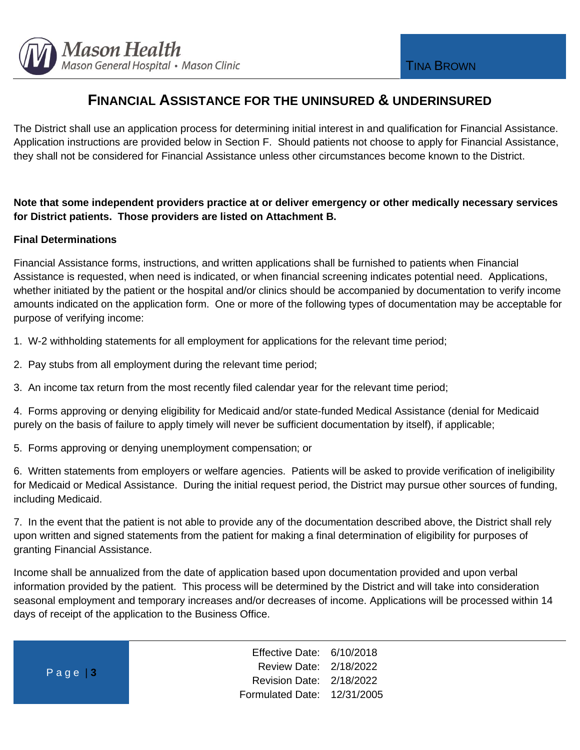

The District shall use an application process for determining initial interest in and qualification for Financial Assistance. Application instructions are provided below in Section F. Should patients not choose to apply for Financial Assistance, they shall not be considered for Financial Assistance unless other circumstances become known to the District.

## **Note that some independent providers practice at or deliver emergency or other medically necessary services for District patients. Those providers are listed on Attachment B.**

### **Final Determinations**

Financial Assistance forms, instructions, and written applications shall be furnished to patients when Financial Assistance is requested, when need is indicated, or when financial screening indicates potential need. Applications, whether initiated by the patient or the hospital and/or clinics should be accompanied by documentation to verify income amounts indicated on the application form. One or more of the following types of documentation may be acceptable for purpose of verifying income:

1. W-2 withholding statements for all employment for applications for the relevant time period;

- 2. Pay stubs from all employment during the relevant time period;
- 3. An income tax return from the most recently filed calendar year for the relevant time period;

4. Forms approving or denying eligibility for Medicaid and/or state-funded Medical Assistance (denial for Medicaid purely on the basis of failure to apply timely will never be sufficient documentation by itself), if applicable;

5. Forms approving or denying unemployment compensation; or

6. Written statements from employers or welfare agencies. Patients will be asked to provide verification of ineligibility for Medicaid or Medical Assistance. During the initial request period, the District may pursue other sources of funding, including Medicaid.

7. In the event that the patient is not able to provide any of the documentation described above, the District shall rely upon written and signed statements from the patient for making a final determination of eligibility for purposes of granting Financial Assistance.

Income shall be annualized from the date of application based upon documentation provided and upon verbal information provided by the patient. This process will be determined by the District and will take into consideration seasonal employment and temporary increases and/or decreases of income. Applications will be processed within 14 days of receipt of the application to the Business Office.

P a g e | **3**

Effective Date: 6/10/2018 Review Date: 2/18/2022 Revision Date: 2/18/2022 Formulated Date: 12/31/2005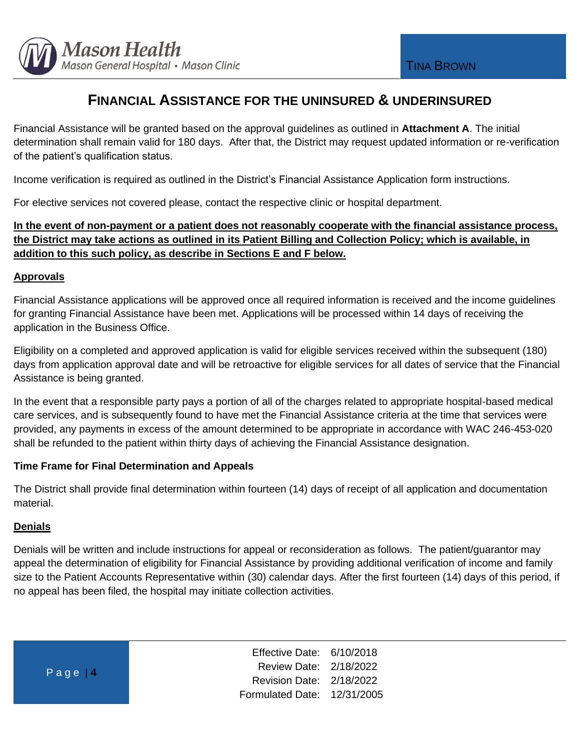

Financial Assistance will be granted based on the approval guidelines as outlined in **Attachment A**. The initial determination shall remain valid for 180 days. After that, the District may request updated information or re-verification of the patient's qualification status.

Income verification is required as outlined in the District's Financial Assistance Application form instructions.

For elective services not covered please, contact the respective clinic or hospital department.

## **In the event of non-payment or a patient does not reasonably cooperate with the financial assistance process, the District may take actions as outlined in its Patient Billing and Collection Policy; which is available, in addition to this such policy, as describe in Sections E and F below.**

#### **Approvals**

Financial Assistance applications will be approved once all required information is received and the income guidelines for granting Financial Assistance have been met. Applications will be processed within 14 days of receiving the application in the Business Office.

Eligibility on a completed and approved application is valid for eligible services received within the subsequent (180) days from application approval date and will be retroactive for eligible services for all dates of service that the Financial Assistance is being granted.

In the event that a responsible party pays a portion of all of the charges related to appropriate hospital-based medical care services, and is subsequently found to have met the Financial Assistance criteria at the time that services were provided, any payments in excess of the amount determined to be appropriate in accordance with WAC 246-453-020 shall be refunded to the patient within thirty days of achieving the Financial Assistance designation.

### **Time Frame for Final Determination and Appeals**

The District shall provide final determination within fourteen (14) days of receipt of all application and documentation material.

### **Denials**

Denials will be written and include instructions for appeal or reconsideration as follows. The patient/guarantor may appeal the determination of eligibility for Financial Assistance by providing additional verification of income and family size to the Patient Accounts Representative within (30) calendar days. After the first fourteen (14) days of this period, if no appeal has been filed, the hospital may initiate collection activities.

| Page $ 4 $ | Effective Date: 6/10/2018   |  |
|------------|-----------------------------|--|
|            | Review Date: 2/18/2022      |  |
|            | Revision Date: 2/18/2022    |  |
|            | Formulated Date: 12/31/2005 |  |
|            |                             |  |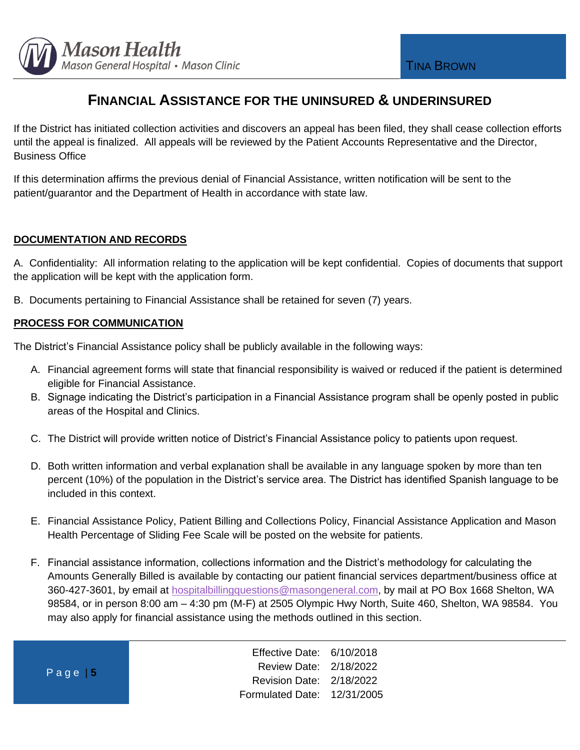

If the District has initiated collection activities and discovers an appeal has been filed, they shall cease collection efforts until the appeal is finalized. All appeals will be reviewed by the Patient Accounts Representative and the Director, Business Office

If this determination affirms the previous denial of Financial Assistance, written notification will be sent to the patient/guarantor and the Department of Health in accordance with state law.

#### **DOCUMENTATION AND RECORDS**

A. Confidentiality: All information relating to the application will be kept confidential. Copies of documents that support the application will be kept with the application form.

B. Documents pertaining to Financial Assistance shall be retained for seven (7) years.

#### **PROCESS FOR COMMUNICATION**

 $P$ 

The District's Financial Assistance policy shall be publicly available in the following ways:

- A. Financial agreement forms will state that financial responsibility is waived or reduced if the patient is determined eligible for Financial Assistance.
- B. Signage indicating the District's participation in a Financial Assistance program shall be openly posted in public areas of the Hospital and Clinics.
- C. The District will provide written notice of District's Financial Assistance policy to patients upon request.
- D. Both written information and verbal explanation shall be available in any language spoken by more than ten percent (10%) of the population in the District's service area. The District has identified Spanish language to be included in this context.
- E. Financial Assistance Policy, Patient Billing and Collections Policy, Financial Assistance Application and Mason Health Percentage of Sliding Fee Scale will be posted on the website for patients.
- F. Financial assistance information, collections information and the District's methodology for calculating the Amounts Generally Billed is available by contacting our patient financial services department/business office at 360-427-3601, by email at [hospitalbillingquestions@masongeneral.com,](mailto:hospitalbillingquestions@masongeneral.com) by mail at PO Box 1668 Shelton, WA 98584, or in person 8:00 am – 4:30 pm (M-F) at 2505 Olympic Hwy North, Suite 460, Shelton, WA 98584. You may also apply for financial assistance using the methods outlined in this section.

| angle 5 | Effective Date: 6/10/2018<br>Review Date: 2/18/2022 |  |
|---------|-----------------------------------------------------|--|
|         | Revision Date: 2/18/2022                            |  |
|         | Formulated Date: 12/31/2005                         |  |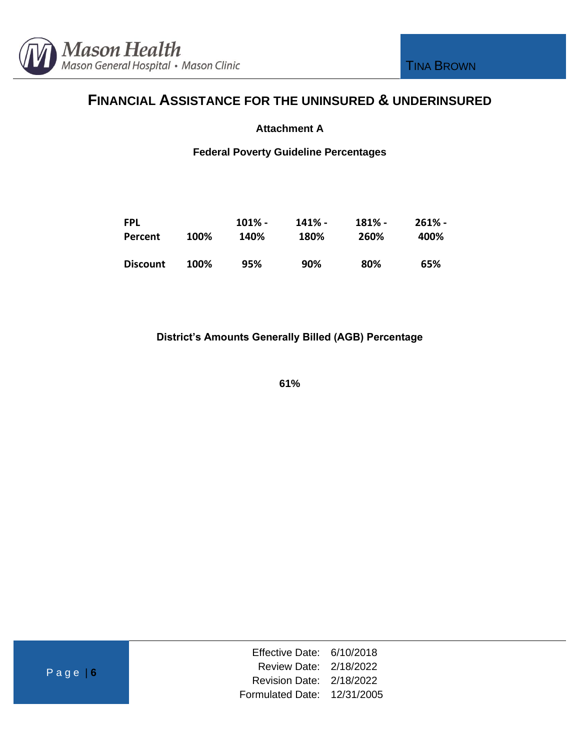

#### **Attachment A**

#### **Federal Poverty Guideline Percentages**

| <b>FPL</b>      |      | $101\%$ - | $141% -$ | 181% - | $261\%$ - |
|-----------------|------|-----------|----------|--------|-----------|
| Percent         | 100% | 140%      | 180%     | 260%   | 400%      |
| <b>Discount</b> | 100% | 95%       | 90%      | 80%    | 65%       |

**District's Amounts Generally Billed (AGB) Percentage**

**61%**

| Effective Date: 6/10/2018   |  |
|-----------------------------|--|
| Review Date: 2/18/2022      |  |
| Revision Date: 2/18/2022    |  |
| Formulated Date: 12/31/2005 |  |